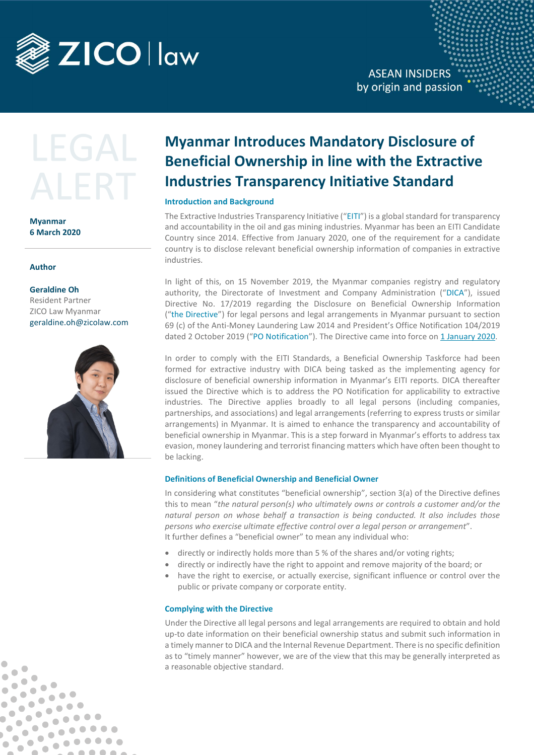

**ASEAN INSIDERS** by origin and passion

# LEGA

**Myanmar 6 March 2020**

## **Author**

 $\bullet$ 

 $\qquad \qquad \blacksquare$ 

 $\qquad \qquad \blacksquare$ 

 $\bullet$  $\bullet$ 

 $\bullet$  $\begin{array}{c} \bullet \\ \bullet \end{array}$ 

 $\blacksquare$ 

 $\blacksquare$ 

 $\qquad \qquad \blacksquare$ 

 $\bullet$   $\bullet$ 

 $\bullet$   $\bullet$ 

 $\begin{array}{c|c} \hline \multicolumn{3}{c|}{\textbf{0}} & \multicolumn{3}{c|}{\textbf{0}} & \multicolumn{3}{c|}{\textbf{0}} \\ \hline \multicolumn{3}{c|}{\textbf{0}} & \multicolumn{3}{c|}{\textbf{0}} & \multicolumn{3}{c|}{\textbf{0}} \\ \hline \multicolumn{3}{c|}{\textbf{0}} & \multicolumn{3}{c|}{\textbf{0}} & \multicolumn{3}{c|}{\textbf{0}} \\ \hline \multicolumn{3}{c|}{\textbf{0}} & \multicolumn{3}{c|}{\textbf{0}} & \multicolumn{3}{c|}{\text$ 

 $. 00000$ 

 $. 000000$ 

 $\bullet$ 

 $\bullet$ 

 $\bullet$  $\bullet$ 

Ċ

 $\bullet$ 

Ó

 $\bullet$ 

 $\qquad \qquad \blacksquare$ 

 $\bullet$ 

 $\bullet$  $\blacksquare$ 

 $\bullet$ 

 $\bullet$ 

**Geraldine Oh** Resident Partner ZICO Law Myanmar geraldine.oh@zicolaw.com



# **Myanmar Introduces Mandatory Disclosure of Beneficial Ownership in line with the Extractive Industries Transparency Initiative Standard**

# **Introduction and Background**

The Extractive Industries Transparency Initiative ("EITI") is a global standard for transparency and accountability in the oil and gas mining industries. Myanmar has been an EITI Candidate Country since 2014. Effective from January 2020, one of the requirement for a candidate country is to disclose relevant beneficial ownership information of companies in extractive industries.

In light of this, on 15 November 2019, the Myanmar companies registry and regulatory authority, the Directorate of Investment and Company Administration ("DICA"), issued Directive No. 17/2019 regarding the Disclosure on Beneficial Ownership Information ("the Directive") for legal persons and legal arrangements in Myanmar pursuant to section 69 (c) of the Anti-Money Laundering Law 2014 and President's Office Notification 104/2019 dated 2 October 2019 ("PO Notification"). The Directive came into force on 1 January 2020.

In order to comply with the EITI Standards, a Beneficial Ownership Taskforce had been formed for extractive industry with DICA being tasked as the implementing agency for disclosure of beneficial ownership information in Myanmar's EITI reports. DICA thereafter issued the Directive which is to address the PO Notification for applicability to extractive industries. The Directive applies broadly to all legal persons (including companies, partnerships, and associations) and legal arrangements (referring to express trusts or similar arrangements) in Myanmar. It is aimed to enhance the transparency and accountability of beneficial ownership in Myanmar. This is a step forward in Myanmar's efforts to address tax evasion, money laundering and terrorist financing matters which have often been thought to be lacking.

# **Definitions of Beneficial Ownership and Beneficial Owner**

In considering what constitutes "beneficial ownership", section 3(a) of the Directive defines this to mean "*the natural person(s) who ultimately owns or controls a customer and/or the natural person on whose behalf a transaction is being conducted. It also includes those persons who exercise ultimate effective control over a legal person or arrangement*". It further defines a "beneficial owner" to mean any individual who:

- directly or indirectly holds more than 5 % of the shares and/or voting rights;
- directly or indirectly have the right to appoint and remove majority of the board; or
- have the right to exercise, or actually exercise, significant influence or control over the public or private company or corporate entity.

## **Complying with the Directive**

Under the Directive all legal persons and legal arrangements are required to obtain and hold up-to date information on their beneficial ownership status and submit such information in a timely manner to DICA and the Internal Revenue Department. There is no specific definition as to "timely manner" however, we are of the view that this may be generally interpreted as a reasonable objective standard.